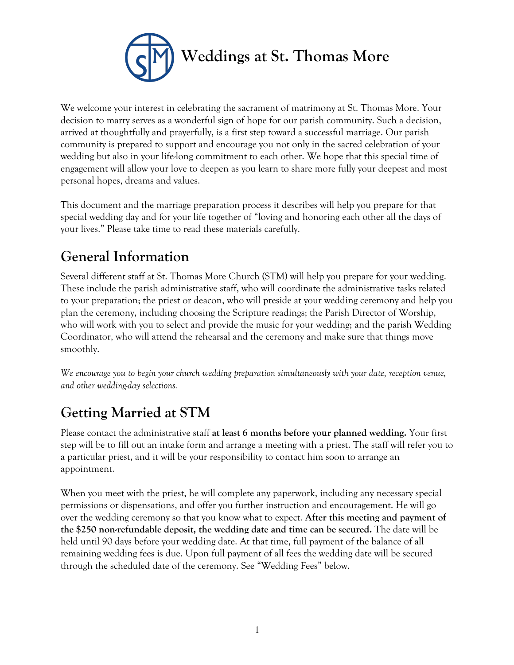

We welcome your interest in celebrating the sacrament of matrimony at St. Thomas More. Your decision to marry serves as a wonderful sign of hope for our parish community. Such a decision, arrived at thoughtfully and prayerfully, is a first step toward a successful marriage. Our parish community is prepared to support and encourage you not only in the sacred celebration of your wedding but also in your life-long commitment to each other. We hope that this special time of engagement will allow your love to deepen as you learn to share more fully your deepest and most personal hopes, dreams and values.

This document and the marriage preparation process it describes will help you prepare for that special wedding day and for your life together of "loving and honoring each other all the days of your lives." Please take time to read these materials carefully.

# **General Information**

Several different staff at St. Thomas More Church (STM) will help you prepare for your wedding. These include the parish administrative staff, who will coordinate the administrative tasks related to your preparation; the priest or deacon, who will preside at your wedding ceremony and help you plan the ceremony, including choosing the Scripture readings; the Parish Director of Worship, who will work with you to select and provide the music for your wedding; and the parish Wedding Coordinator, who will attend the rehearsal and the ceremony and make sure that things move smoothly.

*We encourage you to begin your church wedding preparation simultaneously with your date, reception venue, and other wedding-day selections.*

# **Getting Married at STM**

Please contact the administrative staff **at least 6 months before your planned wedding.** Your first step will be to fill out an intake form and arrange a meeting with a priest. The staff will refer you to a particular priest, and it will be your responsibility to contact him soon to arrange an appointment.

When you meet with the priest, he will complete any paperwork, including any necessary special permissions or dispensations, and offer you further instruction and encouragement. He will go over the wedding ceremony so that you know what to expect. **After this meeting and payment of the \$250 non-refundable deposit, the wedding date and time can be secured.** The date will be held until 90 days before your wedding date. At that time, full payment of the balance of all remaining wedding fees is due. Upon full payment of all fees the wedding date will be secured through the scheduled date of the ceremony. See "Wedding Fees" below.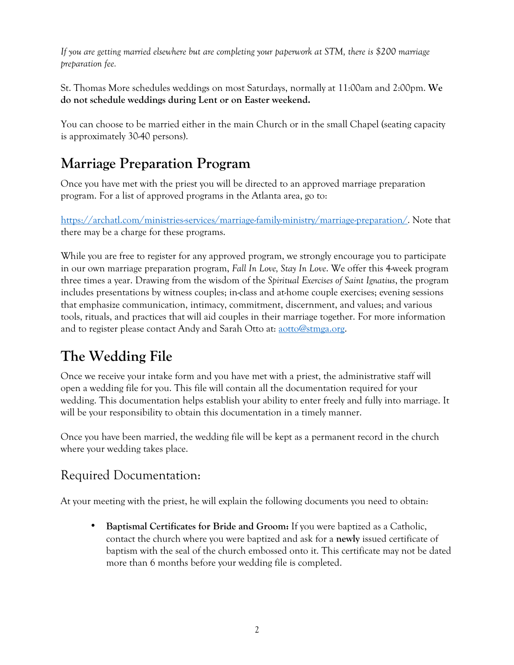*If you are getting married elsewhere but are completing your paperwork at STM, there is \$200 marriage preparation fee.*

St. Thomas More schedules weddings on most Saturdays, normally at 11:00am and 2:00pm. **We do not schedule weddings during Lent or on Easter weekend.** 

You can choose to be married either in the main Church or in the small Chapel (seating capacity is approximately 30-40 persons).

# **Marriage Preparation Program**

Once you have met with the priest you will be directed to an approved marriage preparation program. For a list of approved programs in the Atlanta area, go to:

https://archatl.com/ministries-services/marriage-family-ministry/marriage-preparation/. Note that there may be a charge for these programs.

While you are free to register for any approved program, we strongly encourage you to participate in our own marriage preparation program, *Fall In Love, Stay In Love*. We offer this 4-week program three times a year. Drawing from the wisdom of the *Spiritual Exercises of Saint Ignatius*, the program includes presentations by witness couples; in-class and at-home couple exercises; evening sessions that emphasize communication, intimacy, commitment, discernment, and values; and various tools, rituals, and practices that will aid couples in their marriage together. For more information and to register please contact Andy and Sarah Otto at: aotto@stmga.org.

# **The Wedding File**

Once we receive your intake form and you have met with a priest, the administrative staff will open a wedding file for you. This file will contain all the documentation required for your wedding. This documentation helps establish your ability to enter freely and fully into marriage. It will be your responsibility to obtain this documentation in a timely manner.

Once you have been married, the wedding file will be kept as a permanent record in the church where your wedding takes place.

### Required Documentation:

At your meeting with the priest, he will explain the following documents you need to obtain:

• **Baptismal Certificates for Bride and Groom:** If you were baptized as a Catholic, contact the church where you were baptized and ask for a **newly** issued certificate of baptism with the seal of the church embossed onto it. This certificate may not be dated more than 6 months before your wedding file is completed.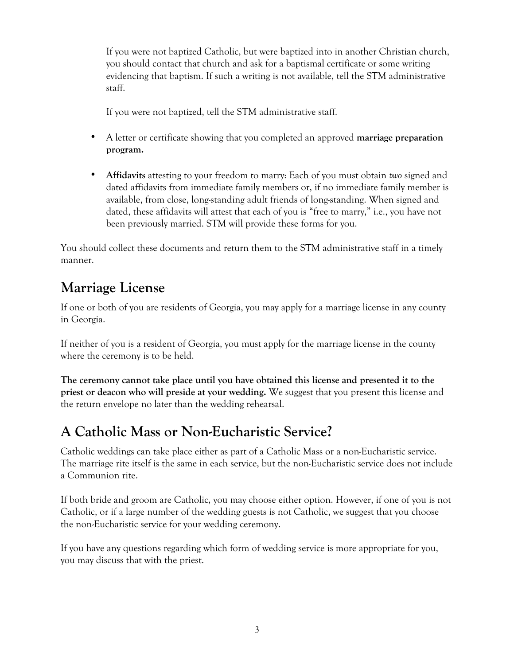If you were not baptized Catholic, but were baptized into in another Christian church, you should contact that church and ask for a baptismal certificate or some writing evidencing that baptism. If such a writing is not available, tell the STM administrative staff.

If you were not baptized, tell the STM administrative staff.

- A letter or certificate showing that you completed an approved **marriage preparation program.**
- **Affidavits** attesting to your freedom to marry: Each of you must obtain *two* signed and dated affidavits from immediate family members or, if no immediate family member is available, from close, long-standing adult friends of long-standing. When signed and dated, these affidavits will attest that each of you is "free to marry," i.e., you have not been previously married. STM will provide these forms for you.

You should collect these documents and return them to the STM administrative staff in a timely manner.

### **Marriage License**

If one or both of you are residents of Georgia, you may apply for a marriage license in any county in Georgia.

If neither of you is a resident of Georgia, you must apply for the marriage license in the county where the ceremony is to be held.

**The ceremony cannot take place until you have obtained this license and presented it to the priest or deacon who will preside at your wedding.** We suggest that you present this license and the return envelope no later than the wedding rehearsal.

### **A Catholic Mass or Non-Eucharistic Service?**

Catholic weddings can take place either as part of a Catholic Mass or a non-Eucharistic service. The marriage rite itself is the same in each service, but the non-Eucharistic service does not include a Communion rite.

If both bride and groom are Catholic, you may choose either option. However, if one of you is not Catholic, or if a large number of the wedding guests is not Catholic, we suggest that you choose the non-Eucharistic service for your wedding ceremony.

If you have any questions regarding which form of wedding service is more appropriate for you, you may discuss that with the priest.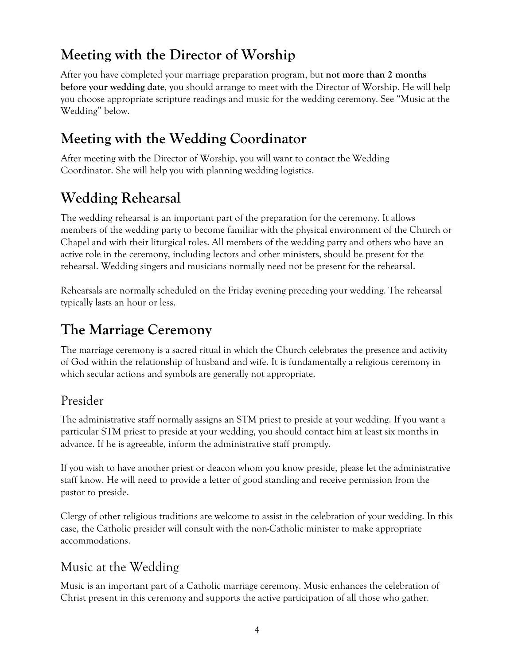# **Meeting with the Director of Worship**

After you have completed your marriage preparation program, but **not more than 2 months before your wedding date**, you should arrange to meet with the Director of Worship. He will help you choose appropriate scripture readings and music for the wedding ceremony. See "Music at the Wedding" below.

# **Meeting with the Wedding Coordinator**

After meeting with the Director of Worship, you will want to contact the Wedding Coordinator. She will help you with planning wedding logistics.

# **Wedding Rehearsal**

The wedding rehearsal is an important part of the preparation for the ceremony. It allows members of the wedding party to become familiar with the physical environment of the Church or Chapel and with their liturgical roles. All members of the wedding party and others who have an active role in the ceremony, including lectors and other ministers, should be present for the rehearsal. Wedding singers and musicians normally need not be present for the rehearsal.

Rehearsals are normally scheduled on the Friday evening preceding your wedding. The rehearsal typically lasts an hour or less.

# **The Marriage Ceremony**

The marriage ceremony is a sacred ritual in which the Church celebrates the presence and activity of God within the relationship of husband and wife. It is fundamentally a religious ceremony in which secular actions and symbols are generally not appropriate.

### Presider

The administrative staff normally assigns an STM priest to preside at your wedding. If you want a particular STM priest to preside at your wedding, you should contact him at least six months in advance. If he is agreeable, inform the administrative staff promptly.

If you wish to have another priest or deacon whom you know preside, please let the administrative staff know. He will need to provide a letter of good standing and receive permission from the pastor to preside.

Clergy of other religious traditions are welcome to assist in the celebration of your wedding. In this case, the Catholic presider will consult with the non-Catholic minister to make appropriate accommodations.

### Music at the Wedding

Music is an important part of a Catholic marriage ceremony. Music enhances the celebration of Christ present in this ceremony and supports the active participation of all those who gather.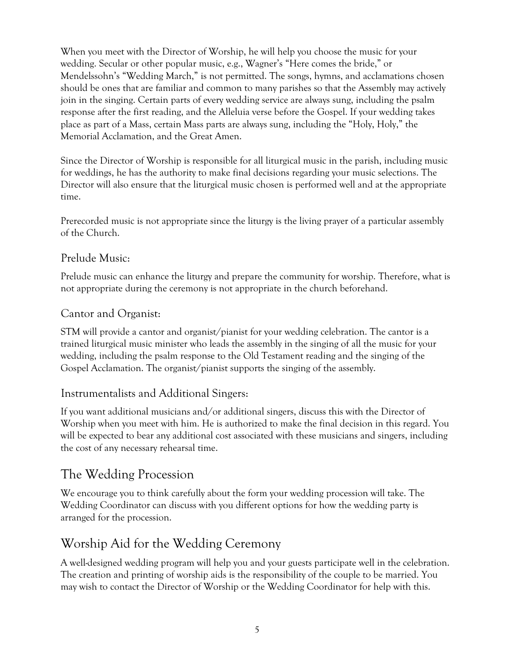When you meet with the Director of Worship, he will help you choose the music for your wedding. Secular or other popular music, e.g., Wagner's "Here comes the bride," or Mendelssohn's "Wedding March," is not permitted. The songs, hymns, and acclamations chosen should be ones that are familiar and common to many parishes so that the Assembly may actively join in the singing. Certain parts of every wedding service are always sung, including the psalm response after the first reading, and the Alleluia verse before the Gospel. If your wedding takes place as part of a Mass, certain Mass parts are always sung, including the "Holy, Holy," the Memorial Acclamation, and the Great Amen.

Since the Director of Worship is responsible for all liturgical music in the parish, including music for weddings, he has the authority to make final decisions regarding your music selections. The Director will also ensure that the liturgical music chosen is performed well and at the appropriate time.

Prerecorded music is not appropriate since the liturgy is the living prayer of a particular assembly of the Church.

#### Prelude Music:

Prelude music can enhance the liturgy and prepare the community for worship. Therefore, what is not appropriate during the ceremony is not appropriate in the church beforehand.

#### Cantor and Organist:

STM will provide a cantor and organist/pianist for your wedding celebration. The cantor is a trained liturgical music minister who leads the assembly in the singing of all the music for your wedding, including the psalm response to the Old Testament reading and the singing of the Gospel Acclamation. The organist/pianist supports the singing of the assembly.

#### Instrumentalists and Additional Singers:

If you want additional musicians and/or additional singers, discuss this with the Director of Worship when you meet with him. He is authorized to make the final decision in this regard. You will be expected to bear any additional cost associated with these musicians and singers, including the cost of any necessary rehearsal time.

### The Wedding Procession

We encourage you to think carefully about the form your wedding procession will take. The Wedding Coordinator can discuss with you different options for how the wedding party is arranged for the procession.

### Worship Aid for the Wedding Ceremony

A well-designed wedding program will help you and your guests participate well in the celebration. The creation and printing of worship aids is the responsibility of the couple to be married. You may wish to contact the Director of Worship or the Wedding Coordinator for help with this.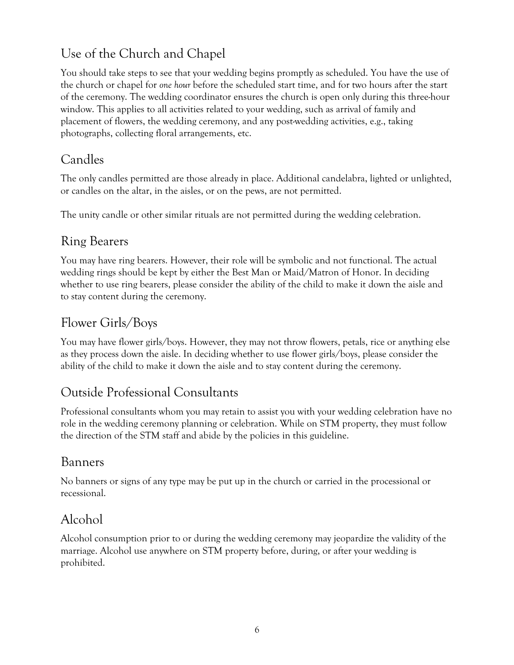### Use of the Church and Chapel

You should take steps to see that your wedding begins promptly as scheduled. You have the use of the church or chapel for *one hour* before the scheduled start time, and for two hours after the start of the ceremony. The wedding coordinator ensures the church is open only during this three-hour window. This applies to all activities related to your wedding, such as arrival of family and placement of flowers, the wedding ceremony, and any post-wedding activities, e.g., taking photographs, collecting floral arrangements, etc.

#### Candles

The only candles permitted are those already in place. Additional candelabra, lighted or unlighted, or candles on the altar, in the aisles, or on the pews, are not permitted.

The unity candle or other similar rituals are not permitted during the wedding celebration.

#### Ring Bearers

You may have ring bearers. However, their role will be symbolic and not functional. The actual wedding rings should be kept by either the Best Man or Maid/Matron of Honor. In deciding whether to use ring bearers, please consider the ability of the child to make it down the aisle and to stay content during the ceremony.

### Flower Girls/Boys

You may have flower girls/boys. However, they may not throw flowers, petals, rice or anything else as they process down the aisle. In deciding whether to use flower girls/boys, please consider the ability of the child to make it down the aisle and to stay content during the ceremony.

### Outside Professional Consultants

Professional consultants whom you may retain to assist you with your wedding celebration have no role in the wedding ceremony planning or celebration. While on STM property, they must follow the direction of the STM staff and abide by the policies in this guideline.

### Banners

No banners or signs of any type may be put up in the church or carried in the processional or recessional.

### Alcohol

Alcohol consumption prior to or during the wedding ceremony may jeopardize the validity of the marriage. Alcohol use anywhere on STM property before, during, or after your wedding is prohibited.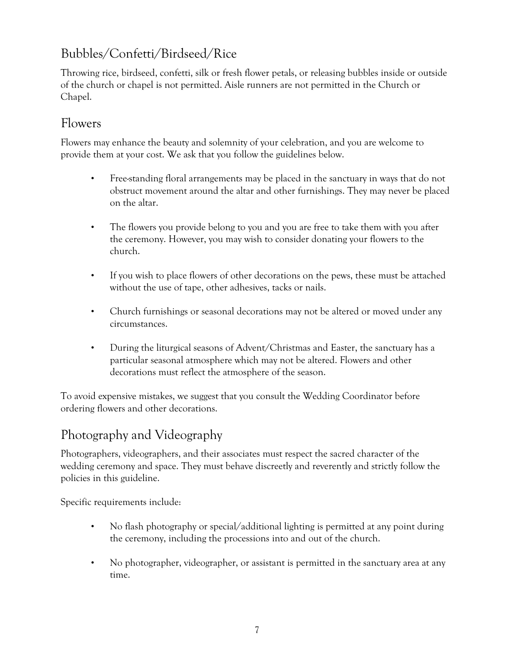### Bubbles/Confetti/Birdseed/Rice

Throwing rice, birdseed, confetti, silk or fresh flower petals, or releasing bubbles inside or outside of the church or chapel is not permitted. Aisle runners are not permitted in the Church or Chapel.

### Flowers

Flowers may enhance the beauty and solemnity of your celebration, and you are welcome to provide them at your cost. We ask that you follow the guidelines below.

- Free-standing floral arrangements may be placed in the sanctuary in ways that do not obstruct movement around the altar and other furnishings. They may never be placed on the altar.
- The flowers you provide belong to you and you are free to take them with you after the ceremony. However, you may wish to consider donating your flowers to the church.
- If you wish to place flowers of other decorations on the pews, these must be attached without the use of tape, other adhesives, tacks or nails.
- Church furnishings or seasonal decorations may not be altered or moved under any circumstances.
- During the liturgical seasons of Advent/Christmas and Easter, the sanctuary has a particular seasonal atmosphere which may not be altered. Flowers and other decorations must reflect the atmosphere of the season.

To avoid expensive mistakes, we suggest that you consult the Wedding Coordinator before ordering flowers and other decorations.

### Photography and Videography

Photographers, videographers, and their associates must respect the sacred character of the wedding ceremony and space. They must behave discreetly and reverently and strictly follow the policies in this guideline.

Specific requirements include:

- No flash photography or special/additional lighting is permitted at any point during the ceremony, including the processions into and out of the church.
- No photographer, videographer, or assistant is permitted in the sanctuary area at any time.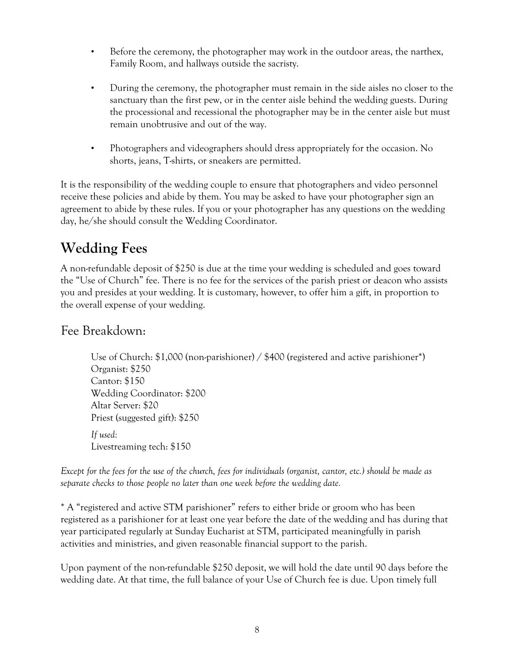- Before the ceremony, the photographer may work in the outdoor areas, the narthex, Family Room, and hallways outside the sacristy.
- During the ceremony, the photographer must remain in the side aisles no closer to the sanctuary than the first pew, or in the center aisle behind the wedding guests. During the processional and recessional the photographer may be in the center aisle but must remain unobtrusive and out of the way.
- Photographers and videographers should dress appropriately for the occasion. No shorts, jeans, T-shirts, or sneakers are permitted.

It is the responsibility of the wedding couple to ensure that photographers and video personnel receive these policies and abide by them. You may be asked to have your photographer sign an agreement to abide by these rules. If you or your photographer has any questions on the wedding day, he/she should consult the Wedding Coordinator.

## **Wedding Fees**

A non-refundable deposit of \$250 is due at the time your wedding is scheduled and goes toward the "Use of Church" fee. There is no fee for the services of the parish priest or deacon who assists you and presides at your wedding. It is customary, however, to offer him a gift, in proportion to the overall expense of your wedding.

#### Fee Breakdown:

Use of Church: \$1,000 (non-parishioner) / \$400 (registered and active parishioner\*) Organist: \$250 Cantor: \$150 Wedding Coordinator: \$200 Altar Server: \$20 Priest (suggested gift): \$250 *If used:* Livestreaming tech: \$150

*Except for the fees for the use of the church, fees for individuals (organist, cantor, etc.) should be made as separate checks to those people no later than one week before the wedding date.*

\* A "registered and active STM parishioner" refers to either bride or groom who has been registered as a parishioner for at least one year before the date of the wedding and has during that year participated regularly at Sunday Eucharist at STM, participated meaningfully in parish activities and ministries, and given reasonable financial support to the parish.

Upon payment of the non-refundable \$250 deposit, we will hold the date until 90 days before the wedding date. At that time, the full balance of your Use of Church fee is due. Upon timely full